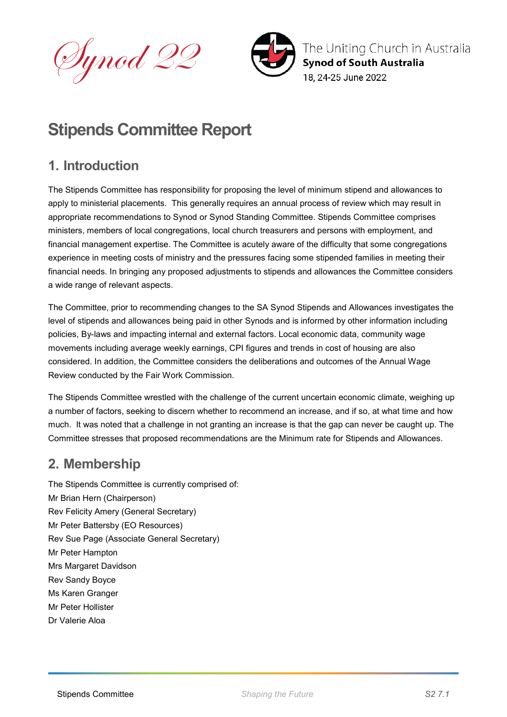Dynod 22



The Uniting Church in Australia **Synod of South Australia** 18. 24-25 June 2022

# **Stipends Committee Report**

## **1. Introduction**

The Stipends Committee has responsibility for proposing the level of minimum stipend and allowances to apply to ministerial placements. This generally requires an annual process of review which may result in appropriate recommendations to Synod or Synod Standing Committee. Stipends Committee comprises ministers, members of local congregations, local church treasurers and persons with employment, and financial management expertise. The Committee is acutely aware of the difficulty that some congregations experience in meeting costs of ministry and the pressures facing some stipended families in meeting their financial needs. In bringing any proposed adjustments to stipends and allowances the Committee considers a wide range of relevant aspects.

The Committee, prior to recommending changes to the SA Synod Stipends and Allowances investigates the level of stipends and allowances being paid in other Synods and is informed by other information including policies, By-laws and impacting internal and external factors. Local economic data, community wage movements including average weekly earnings, CPI figures and trends in cost of housing are also considered. In addition, the Committee considers the deliberations and outcomes of the Annual Wage Review conducted by the Fair Work Commission.

The Stipends Committee wrestled with the challenge of the current uncertain economic climate, weighing up a number of factors, seeking to discern whether to recommend an increase, and if so, at what time and how much. It was noted that a challenge in not granting an increase is that the gap can never be caught up. The Committee stresses that proposed recommendations are the Minimum rate for Stipends and Allowances.

## **2. Membership**

The Stipends Committee is currently comprised of: Mr Brian Hern (Chairperson) Rev Felicity Amery (General Secretary) Mr Peter Battersby (EO Resources) Rev Sue Page (Associate General Secretary) Mr Peter Hampton Mrs Margaret Davidson Rev Sandy Boyce Ms Karen Granger Mr Peter Hollister Dr Valerie Aloa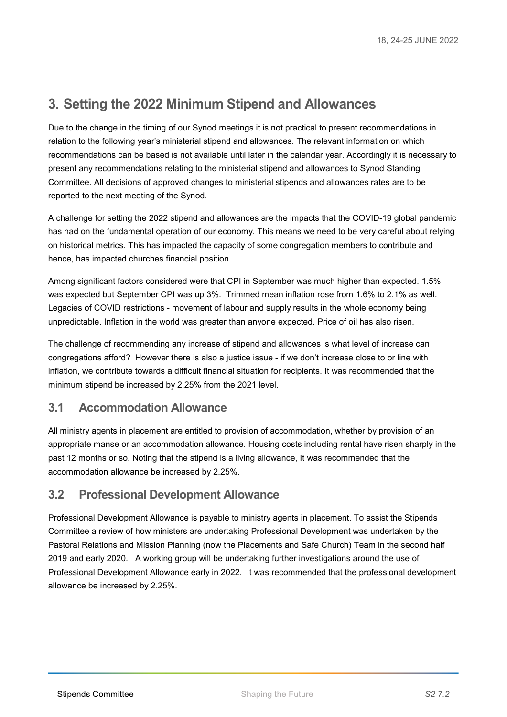### **3. Setting the 2022 Minimum Stipend and Allowances**

Due to the change in the timing of our Synod meetings it is not practical to present recommendations in relation to the following year's ministerial stipend and allowances. The relevant information on which recommendations can be based is not available until later in the calendar year. Accordingly it is necessary to present any recommendations relating to the ministerial stipend and allowances to Synod Standing Committee. All decisions of approved changes to ministerial stipends and allowances rates are to be reported to the next meeting of the Synod.

A challenge for setting the 2022 stipend and allowances are the impacts that the COVID-19 global pandemic has had on the fundamental operation of our economy. This means we need to be very careful about relying on historical metrics. This has impacted the capacity of some congregation members to contribute and hence, has impacted churches financial position.

Among significant factors considered were that CPI in September was much higher than expected. 1.5%, was expected but September CPI was up 3%. Trimmed mean inflation rose from 1.6% to 2.1% as well. Legacies of COVID restrictions - movement of labour and supply results in the whole economy being unpredictable. Inflation in the world was greater than anyone expected. Price of oil has also risen.

The challenge of recommending any increase of stipend and allowances is what level of increase can congregations afford? However there is also a justice issue - if we don't increase close to or line with inflation, we contribute towards a difficult financial situation for recipients. It was recommended that the minimum stipend be increased by 2.25% from the 2021 level.

#### **3.1 Accommodation Allowance**

All ministry agents in placement are entitled to provision of accommodation, whether by provision of an appropriate manse or an accommodation allowance. Housing costs including rental have risen sharply in the past 12 months or so. Noting that the stipend is a living allowance, It was recommended that the accommodation allowance be increased by 2.25%.

#### **3.2 Professional Development Allowance**

Professional Development Allowance is payable to ministry agents in placement. To assist the Stipends Committee a review of how ministers are undertaking Professional Development was undertaken by the Pastoral Relations and Mission Planning (now the Placements and Safe Church) Team in the second half 2019 and early 2020. A working group will be undertaking further investigations around the use of Professional Development Allowance early in 2022. It was recommended that the professional development allowance be increased by 2.25%.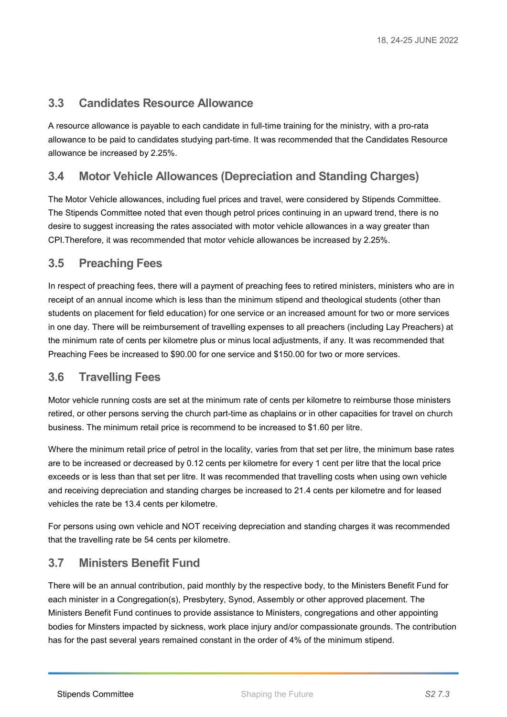#### **3.3 Candidates Resource Allowance**

A resource allowance is payable to each candidate in full-time training for the ministry, with a pro-rata allowance to be paid to candidates studying part-time. It was recommended that the Candidates Resource allowance be increased by 2.25%.

#### **3.4 Motor Vehicle Allowances (Depreciation and Standing Charges)**

The Motor Vehicle allowances, including fuel prices and travel, were considered by Stipends Committee. The Stipends Committee noted that even though petrol prices continuing in an upward trend, there is no desire to suggest increasing the rates associated with motor vehicle allowances in a way greater than CPI.Therefore, it was recommended that motor vehicle allowances be increased by 2.25%.

#### **3.5 Preaching Fees**

In respect of preaching fees, there will a payment of preaching fees to retired ministers, ministers who are in receipt of an annual income which is less than the minimum stipend and theological students (other than students on placement for field education) for one service or an increased amount for two or more services in one day. There will be reimbursement of travelling expenses to all preachers (including Lay Preachers) at the minimum rate of cents per kilometre plus or minus local adjustments, if any. It was recommended that Preaching Fees be increased to \$90.00 for one service and \$150.00 for two or more services.

#### **3.6 Travelling Fees**

Motor vehicle running costs are set at the minimum rate of cents per kilometre to reimburse those ministers retired, or other persons serving the church part-time as chaplains or in other capacities for travel on church business. The minimum retail price is recommend to be increased to \$1.60 per litre.

Where the minimum retail price of petrol in the locality, varies from that set per litre, the minimum base rates are to be increased or decreased by 0.12 cents per kilometre for every 1 cent per litre that the local price exceeds or is less than that set per litre. It was recommended that travelling costs when using own vehicle and receiving depreciation and standing charges be increased to 21.4 cents per kilometre and for leased vehicles the rate be 13.4 cents per kilometre.

For persons using own vehicle and NOT receiving depreciation and standing charges it was recommended that the travelling rate be 54 cents per kilometre.

#### **3.7 Ministers Benefit Fund**

There will be an annual contribution, paid monthly by the respective body, to the Ministers Benefit Fund for each minister in a Congregation(s), Presbytery, Synod, Assembly or other approved placement. The Ministers Benefit Fund continues to provide assistance to Ministers, congregations and other appointing bodies for Minsters impacted by sickness, work place injury and/or compassionate grounds. The contribution has for the past several years remained constant in the order of 4% of the minimum stipend.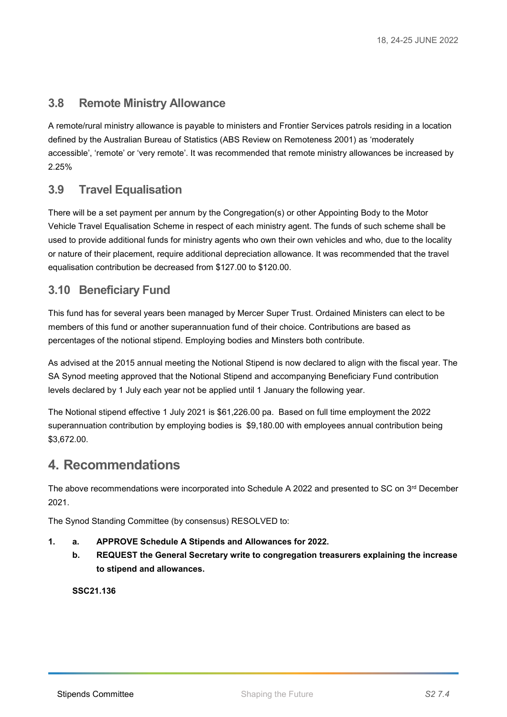#### **3.8 Remote Ministry Allowance**

A remote/rural ministry allowance is payable to ministers and Frontier Services patrols residing in a location defined by the Australian Bureau of Statistics (ABS Review on Remoteness 2001) as 'moderately accessible', 'remote' or 'very remote'. It was recommended that remote ministry allowances be increased by 2.25%

#### **3.9 Travel Equalisation**

There will be a set payment per annum by the Congregation(s) or other Appointing Body to the Motor Vehicle Travel Equalisation Scheme in respect of each ministry agent. The funds of such scheme shall be used to provide additional funds for ministry agents who own their own vehicles and who, due to the locality or nature of their placement, require additional depreciation allowance. It was recommended that the travel equalisation contribution be decreased from \$127.00 to \$120.00.

#### **3.10 Beneficiary Fund**

This fund has for several years been managed by Mercer Super Trust. Ordained Ministers can elect to be members of this fund or another superannuation fund of their choice. Contributions are based as percentages of the notional stipend. Employing bodies and Minsters both contribute.

As advised at the 2015 annual meeting the Notional Stipend is now declared to align with the fiscal year. The SA Synod meeting approved that the Notional Stipend and accompanying Beneficiary Fund contribution levels declared by 1 July each year not be applied until 1 January the following year.

The Notional stipend effective 1 July 2021 is \$61,226.00 pa. Based on full time employment the 2022 superannuation contribution by employing bodies is \$9,180.00 with employees annual contribution being \$3,672.00.

#### **4. Recommendations**

The above recommendations were incorporated into Schedule A 2022 and presented to SC on 3rd December 2021.

The Synod Standing Committee (by consensus) RESOLVED to:

- **1. a. APPROVE Schedule A Stipends and Allowances for 2022.**
	- **b. REQUEST the General Secretary write to congregation treasurers explaining the increase to stipend and allowances.**

**SSC21.136**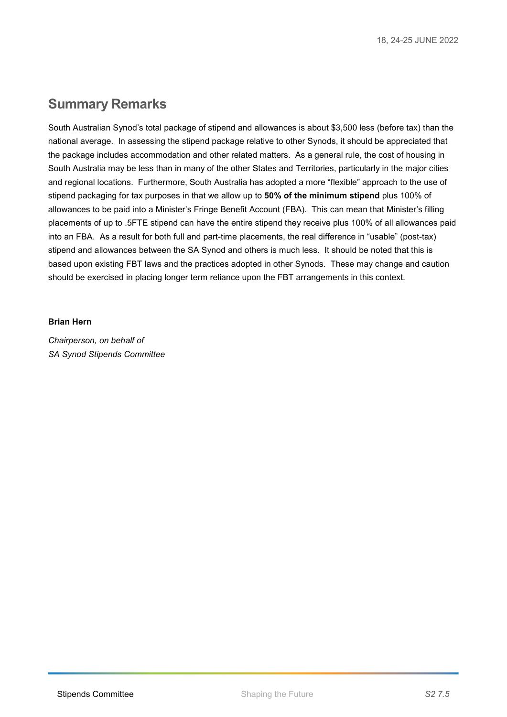### **Summary Remarks**

South Australian Synod's total package of stipend and allowances is about \$3,500 less (before tax) than the national average. In assessing the stipend package relative to other Synods, it should be appreciated that the package includes accommodation and other related matters. As a general rule, the cost of housing in South Australia may be less than in many of the other States and Territories, particularly in the major cities and regional locations. Furthermore, South Australia has adopted a more "flexible" approach to the use of stipend packaging for tax purposes in that we allow up to **50% of the minimum stipend** plus 100% of allowances to be paid into a Minister's Fringe Benefit Account (FBA). This can mean that Minister's filling placements of up to .5FTE stipend can have the entire stipend they receive plus 100% of all allowances paid into an FBA. As a result for both full and part-time placements, the real difference in "usable" (post-tax) stipend and allowances between the SA Synod and others is much less. It should be noted that this is based upon existing FBT laws and the practices adopted in other Synods. These may change and caution should be exercised in placing longer term reliance upon the FBT arrangements in this context.

#### **Brian Hern**

*Chairperson, on behalf of SA Synod Stipends Committee*